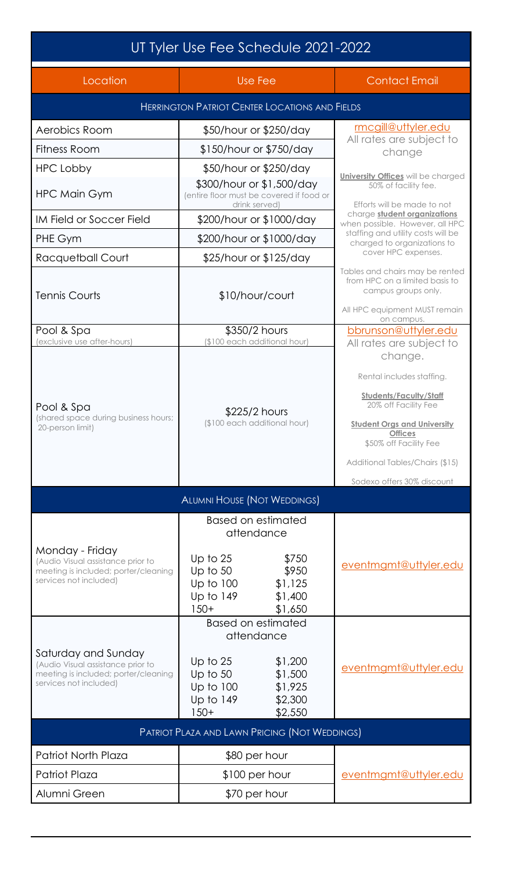| UT Tyler Use Fee Schedule 2021-2022                                                                                        |                                                                                                                     |                                                                                                                                                                      |  |
|----------------------------------------------------------------------------------------------------------------------------|---------------------------------------------------------------------------------------------------------------------|----------------------------------------------------------------------------------------------------------------------------------------------------------------------|--|
| Location                                                                                                                   | Use Fee                                                                                                             | <b>Contact Email</b>                                                                                                                                                 |  |
| <b>HERRINGTON PATRIOT CENTER LOCATIONS AND FIELDS</b>                                                                      |                                                                                                                     |                                                                                                                                                                      |  |
| Aerobics Room                                                                                                              | \$50/hour or \$250/day                                                                                              | mcgill@uttyler.edu<br>All rates are subject to                                                                                                                       |  |
| <b>Fitness Room</b>                                                                                                        | \$150/hour or \$750/day                                                                                             | change                                                                                                                                                               |  |
| HPC Lobby                                                                                                                  | \$50/hour or \$250/day                                                                                              | <b>University Offices</b> will be charged                                                                                                                            |  |
| <b>HPC Main Gym</b>                                                                                                        | \$300/hour or \$1,500/day<br>(entire floor must be covered if food or<br>drink served)                              | 50% of facility fee.<br>Efforts will be made to not                                                                                                                  |  |
| IM Field or Soccer Field                                                                                                   | \$200/hour or \$1000/day                                                                                            | charge student organizations<br>when possible. However, all HPC                                                                                                      |  |
| PHE Gym                                                                                                                    | \$200/hour or \$1000/day                                                                                            | staffing and utility costs will be<br>charged to organizations to                                                                                                    |  |
| Racquetball Court                                                                                                          | \$25/hour or \$125/day                                                                                              | cover HPC expenses.                                                                                                                                                  |  |
| <b>Tennis Courts</b>                                                                                                       | \$10/hour/court                                                                                                     | Tables and chairs may be rented<br>from HPC on a limited basis to<br>campus groups only.<br>All HPC equipment MUST remain                                            |  |
| Pool & Spa                                                                                                                 | \$350/2 hours                                                                                                       | on campus.<br>bbrunson@uttyler.edu                                                                                                                                   |  |
| (exclusive use after-hours)                                                                                                | (\$100 each additional hour)                                                                                        | All rates are subject to<br>change.                                                                                                                                  |  |
| Pool & Spa<br>(shared space during business hours;<br>20-person limit)                                                     | \$225/2 hours<br>(\$100 each additional hour)                                                                       | Rental includes staffing.<br><b>Students/Faculty/Staff</b><br>20% off Facility Fee<br><b>Student Orgs and University</b><br><b>Offices</b><br>\$50% off Facility Fee |  |
|                                                                                                                            |                                                                                                                     | Additional Tables/Chairs (\$15)<br>Sodexo offers 30% discount                                                                                                        |  |
| <b>ALUMNI HOUSE (NOT WEDDINGS)</b>                                                                                         |                                                                                                                     |                                                                                                                                                                      |  |
|                                                                                                                            | Based on estimated<br>attendance                                                                                    |                                                                                                                                                                      |  |
| Monday - Friday<br>(Audio Visual assistance prior to<br>meeting is included; porter/cleaning<br>services not included)     | \$750<br>Up to $25$<br>\$950<br>Up to $50$<br>Up to 100<br>\$1,125<br>Up to 149<br>\$1,400<br>$150+$<br>\$1,650     | eventmgmt@uttyler.edu                                                                                                                                                |  |
|                                                                                                                            | <b>Based on estimated</b><br>attendance                                                                             |                                                                                                                                                                      |  |
| Saturday and Sunday<br>(Audio Visual assistance prior to<br>meeting is included; porter/cleaning<br>services not included) | \$1,200<br>Up to $25$<br>Up to $50$<br>\$1,500<br>Up to 100<br>\$1,925<br>Up to 149<br>\$2,300<br>$150+$<br>\$2,550 | eventmgmt@uttyler.edu                                                                                                                                                |  |
| <b>PATRIOT PLAZA AND LAWN PRICING (NOT WEDDINGS)</b>                                                                       |                                                                                                                     |                                                                                                                                                                      |  |
| <b>Patriot North Plaza</b>                                                                                                 | \$80 per hour                                                                                                       |                                                                                                                                                                      |  |
| <b>Patriot Plaza</b>                                                                                                       | $$100$ per hour                                                                                                     | eventmgmt@uttyler.edu                                                                                                                                                |  |
| Alumni Green                                                                                                               | \$70 per hour                                                                                                       |                                                                                                                                                                      |  |